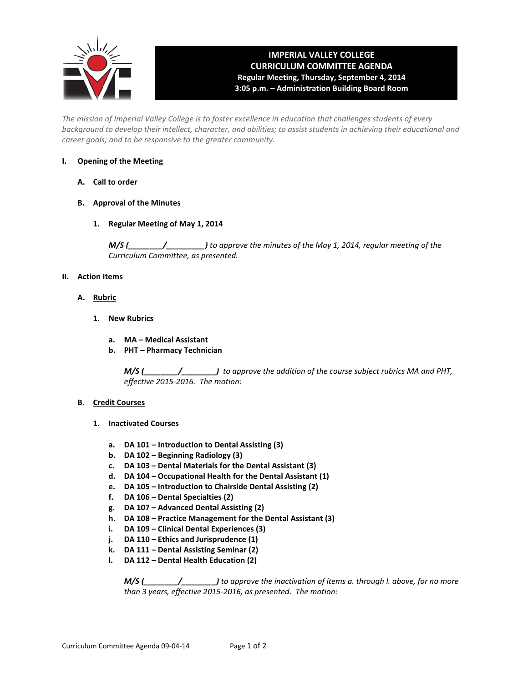

# **IMPERIAL VALLEY COLLEGE CURRICULUM COMMITTEE AGENDA Regular Meeting, Thursday, September 4, 2014 3:05 p.m. – Administration Building Board Room**

*The mission of Imperial Valley College is to foster excellence in education that challenges students of every background to develop their intellect, character, and abilities; to assist students in achieving their educational and career goals; and to be responsive to the greater community.*

### **I. Opening of the Meeting**

- **A. Call to order**
- **B. Approval of the Minutes**
	- **1. Regular Meeting of May 1, 2014**

*M/S (\_\_\_\_\_\_\_\_/\_\_\_\_\_\_\_\_\_) to approve the minutes of the May 1, 2014, regular meeting of the Curriculum Committee, as presented.*

### **II. Action Items**

- **A. Rubric**
	- **1. New Rubrics**
		- **a. MA Medical Assistant**
		- **b. PHT Pharmacy Technician**

*M/S (\_\_\_\_\_\_\_\_/\_\_\_\_\_\_\_\_) to approve the addition of the course subject rubrics MA and PHT, effective 2015-2016. The motion:*

### **B. Credit Courses**

- **1. Inactivated Courses**
	- **a. DA 101 Introduction to Dental Assisting (3)**
	- **b. DA 102 Beginning Radiology (3)**
	- **c. DA 103 Dental Materials for the Dental Assistant (3)**
	- **d. DA 104 Occupational Health for the Dental Assistant (1)**
	- **e. DA 105 Introduction to Chairside Dental Assisting (2)**
	- **f. DA 106 Dental Specialties (2)**
	- **g. DA 107 Advanced Dental Assisting (2)**
	- **h. DA 108 Practice Management for the Dental Assistant (3)**
	- **i. DA 109 Clinical Dental Experiences (3)**
	- **j. DA 110 Ethics and Jurisprudence (1)**
	- **k. DA 111 Dental Assisting Seminar (2)**
	- **l. DA 112 Dental Health Education (2)**

*M/S (\_\_\_\_\_\_\_\_/\_\_\_\_\_\_\_\_) to approve the inactivation of items a. through l. above, for no more than 3 years, effective 2015-2016, as presented. The motion:*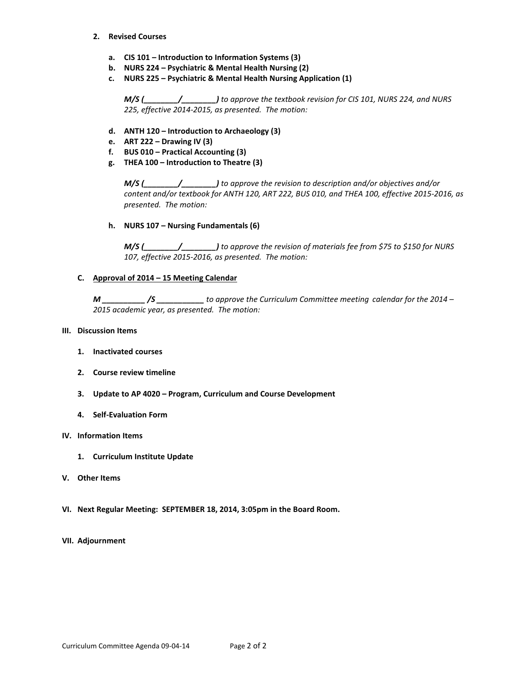- **2. Revised Courses**
	- **a. CIS 101 Introduction to Information Systems (3)**
	- **b. NURS 224 Psychiatric & Mental Health Nursing (2)**
	- **c. NURS 225 Psychiatric & Mental Health Nursing Application (1)**

*M/S (\_\_\_\_\_\_\_\_/\_\_\_\_\_\_\_\_) to approve the textbook revision for CIS 101, NURS 224, and NURS 225, effective 2014-2015, as presented. The motion:*

- **d. ANTH 120 Introduction to Archaeology (3)**
- **e. ART 222 Drawing IV (3)**
- **f. BUS 010 Practical Accounting (3)**
- **g. THEA 100 Introduction to Theatre (3)**

*M/S (\_\_\_\_\_\_\_\_/\_\_\_\_\_\_\_\_) to approve the revision to description and/or objectives and/or content and/or textbook for ANTH 120, ART 222, BUS 010, and THEA 100, effective 2015-2016, as presented. The motion:*

**h. NURS 107 – Nursing Fundamentals (6)**

*M/S (\_\_\_\_\_\_\_\_/\_\_\_\_\_\_\_\_) to approve the revision of materials fee from \$75 to \$150 for NURS 107, effective 2015-2016, as presented. The motion:*

**C. Approval of 2014 – 15 Meeting Calendar**

*M \_\_\_\_\_\_\_\_\_\_ /S \_\_\_\_\_\_\_\_\_\_\_ to approve the Curriculum Committee meeting calendar for the 2014 – 2015 academic year, as presented. The motion:* 

### **III. Discussion Items**

- **1. Inactivated courses**
- **2. Course review timeline**
- **3. Update to AP 4020 Program, Curriculum and Course Development**
- **4. Self-Evaluation Form**

### **IV. Information Items**

- **1. Curriculum Institute Update**
- **V. Other Items**
- **VI. Next Regular Meeting: SEPTEMBER 18, 2014, 3:05pm in the Board Room.**
- **VII. Adjournment**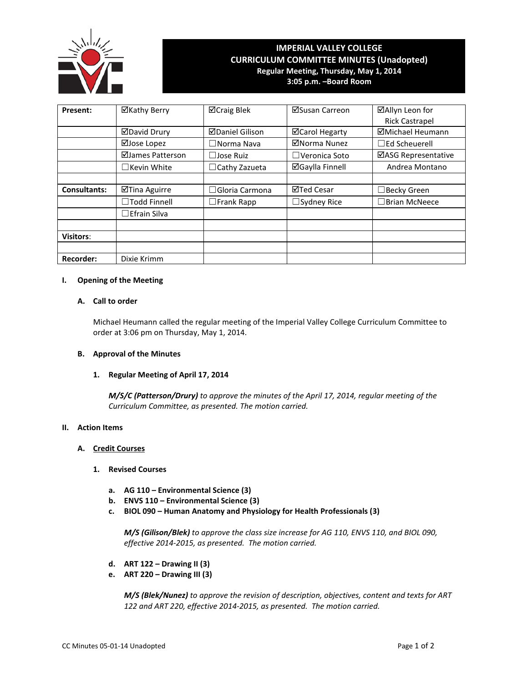

## **IMPERIAL VALLEY COLLEGE CURRICULUM COMMITTEE MINUTES (Unadopted) Regular Meeting, Thursday, May 1, 2014 3:05 p.m. –Board Room**

| Present:            | ⊠Kathy Berry        | <b>⊠Craig Blek</b>     | ⊠Susan Carreon         | ⊠Allyn Leon for         |
|---------------------|---------------------|------------------------|------------------------|-------------------------|
|                     |                     |                        |                        | <b>Rick Castrapel</b>   |
|                     | ⊠David Drury        | <b>ØDaniel Gilison</b> | ⊠Carol Hegarty         | <b>ØMichael Heumann</b> |
|                     | ⊠Jose Lopez         | $\Box$ Norma Nava      | ⊠Norma Nunez           | $\Box$ Ed Scheuerell    |
|                     | ⊠James Patterson    | $\Box$ Jose Ruiz       | $\Box$ Veronica Soto   | ⊠ASG Representative     |
|                     | $\Box$ Kevin White  | $\Box$ Cathy Zazueta   | <b>⊠Gaylla Finnell</b> | Andrea Montano          |
|                     |                     |                        |                        |                         |
| <b>Consultants:</b> | ⊠Tina Aguirre       | $\Box$ Gloria Carmona  | ⊠Ted Cesar             | $\Box$ Becky Green      |
|                     | □Todd Finnell       | $\square$ Frank Rapp   | $\Box$ Sydney Rice     | $\Box$ Brian McNeece    |
|                     | $\Box$ Efrain Silva |                        |                        |                         |
|                     |                     |                        |                        |                         |
| <b>Visitors:</b>    |                     |                        |                        |                         |
|                     |                     |                        |                        |                         |
| <b>Recorder:</b>    | Dixie Krimm         |                        |                        |                         |

### **I. Opening of the Meeting**

### **A. Call to order**

Michael Heumann called the regular meeting of the Imperial Valley College Curriculum Committee to order at 3:06 pm on Thursday, May 1, 2014.

### **B. Approval of the Minutes**

### **1. Regular Meeting of April 17, 2014**

*M/S/C (Patterson/Drury) to approve the minutes of the April 17, 2014, regular meeting of the Curriculum Committee, as presented. The motion carried.*

### **II. Action Items**

### **A. Credit Courses**

### **1. Revised Courses**

- **a. AG 110 Environmental Science (3)**
- **b. ENVS 110 Environmental Science (3)**
- **c. BIOL 090 Human Anatomy and Physiology for Health Professionals (3)**

*M/S (Gilison/Blek) to approve the class size increase for AG 110, ENVS 110, and BIOL 090, effective 2014-2015, as presented. The motion carried.*

- **d. ART 122 Drawing II (3)**
- **e. ART 220 Drawing III (3)**

*M/S (Blek/Nunez) to approve the revision of description, objectives, content and texts for ART 122 and ART 220, effective 2014-2015, as presented. The motion carried.*